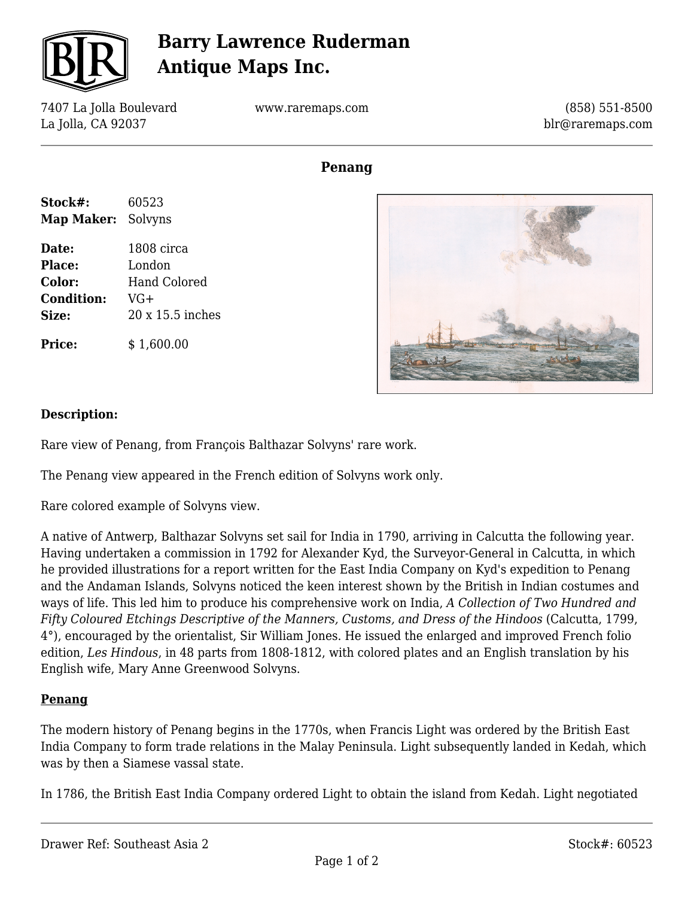

# **Barry Lawrence Ruderman Antique Maps Inc.**

7407 La Jolla Boulevard La Jolla, CA 92037

www.raremaps.com

(858) 551-8500 blr@raremaps.com

## **Penang**

| Stock#:                   | 60523 |
|---------------------------|-------|
| <b>Map Maker: Solvyns</b> |       |

**Date:** 1808 circa **Place:** London **Color:** Hand Colored **Condition:** VG+ **Size:** 20 x 15.5 inches

**Price:**  $$ 1.600.00$ 



#### **Description:**

Rare view of Penang, from François Balthazar Solvyns' rare work.

The Penang view appeared in the French edition of Solvyns work only.

Rare colored example of Solvyns view.

A native of Antwerp, Balthazar Solvyns set sail for India in 1790, arriving in Calcutta the following year. Having undertaken a commission in 1792 for Alexander Kyd, the Surveyor-General in Calcutta, in which he provided illustrations for a report written for the East India Company on Kyd's expedition to Penang and the Andaman Islands, Solvyns noticed the keen interest shown by the British in Indian costumes and ways of life. This led him to produce his comprehensive work on India, *A Collection of Two Hundred and Fifty Coloured Etchings Descriptive of the Manners, Customs, and Dress of the Hindoos* (Calcutta, 1799, 4°), encouraged by the orientalist, Sir William Jones. He issued the enlarged and improved French folio edition, *Les Hindous*, in 48 parts from 1808-1812, with colored plates and an English translation by his English wife, Mary Anne Greenwood Solvyns.

### **Penang**

The modern history of Penang begins in the 1770s, when Francis Light was ordered by the British East India Company to form trade relations in the Malay Peninsula. Light subsequently landed in Kedah, which was by then a Siamese vassal state.

In 1786, the British East India Company ordered Light to obtain the island from Kedah. Light negotiated